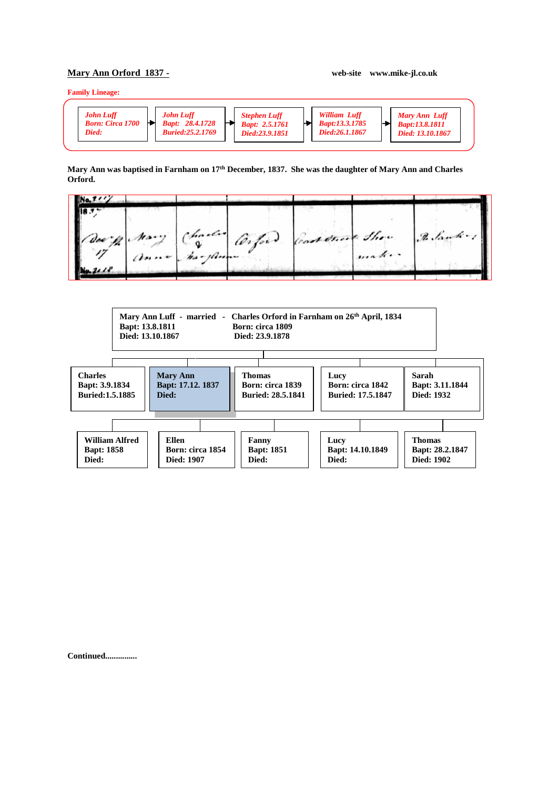## **Mary Ann Orford 1837 - web-site www.mike-jl.co.uk**

**Family Lineage:**

| John Luff<br><b>Born: Circa 1700</b><br>Died: | <b>John Luff</b><br><b>Bapt: 28.4.1728</b><br><b>Buried:25.2.1769</b> | <b>Stephen Luff</b><br><b>Bapt: 2.5.1761</b><br>Died:23.9.1851 | <b>William Luff</b><br><i>Bapt:13.3.1785</i><br>Died:26.1.1867 | <b>Mary Ann Luff</b><br><b>Bapt:13.8.1811</b><br>Died: 13.10.1867 |
|-----------------------------------------------|-----------------------------------------------------------------------|----------------------------------------------------------------|----------------------------------------------------------------|-------------------------------------------------------------------|
|                                               |                                                                       |                                                                |                                                                |                                                                   |

## **Mary Ann was baptised in Farnham on 17th December, 1837. She was the daughter of Mary Ann and Charles Orford.**





**Continued...............**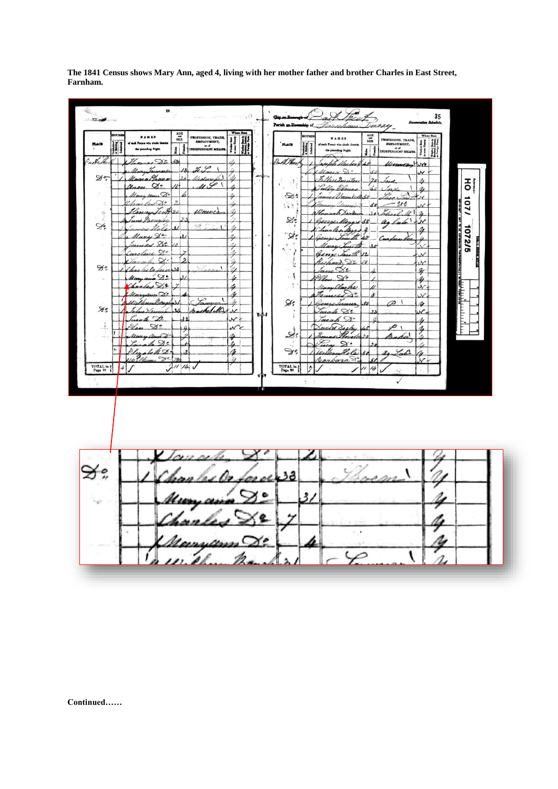

The 1841 Census shows Mary Ann, aged 4, living with her mother father and brother Charles in East Street, Farnham.

Continued......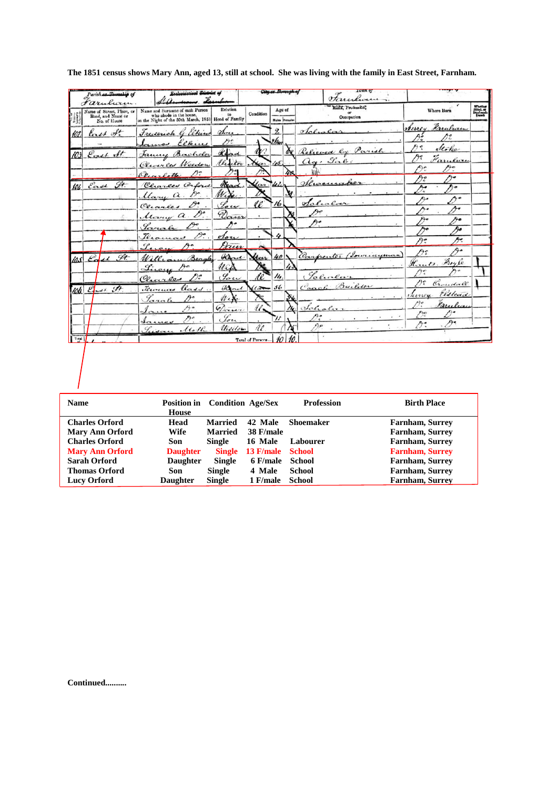|       | Parish or Township of<br>farulurin.                            | Ecolociastical <del>Dictric</del> t o                                                                             |                                                 |                   |                        |           | house                                                |                                            |                                         |
|-------|----------------------------------------------------------------|-------------------------------------------------------------------------------------------------------------------|-------------------------------------------------|-------------------|------------------------|-----------|------------------------------------------------------|--------------------------------------------|-----------------------------------------|
|       | Name of Street, Place, or<br>Road, and Name or<br>No. of House | Name and Surname of each Person<br>who abode in the house,<br>on the Night of the 30th March, 1851 Head of Family | Relation<br>to                                  | Condition         | Age of<br>Males Female |           | Rank, Profession,<br>or<br>Occupation                | Where Born                                 | Whetha<br>Blind, or<br>Deaf-and<br>Dumb |
|       | tast of                                                        | Frederick G. Elkin<br>Elkins                                                                                      | $n_{\rm}$<br>n:                                 |                   | $\mathfrak{D}$<br>ther |           | $q_{\alpha\ell}$                                     | Murey Harulucen<br>غوم<br>72               |                                         |
| 103   | East St.                                                       | Janny<br>Bachelor<br>Clures<br>Weedow                                                                             | Read<br>Unitor                                  | Mar               | 15                     | Ă         | Relieved<br>$a_{\alpha}$ , La                        | e<br>Atoka<br>今く<br>Farular                |                                         |
| 104   | East St.                                                       | D:<br>Ourette<br>Charles Caford                                                                                   | Read                                            | lon               | $4\delta$              | 40        | $\alpha$                                             | Ą.<br>Ą.                                   |                                         |
|       |                                                                | $\mathcal{D}^{\circ}$ .<br>Mary a<br>$\mathscr{D}$ :<br>Cerarles                                                  | W.                                              | qp.               | 16                     | Xf        | $_{\alpha}$                                          | ŋ.<br>/ a<br>ኅ ०                           |                                         |
|       |                                                                | Mary a<br>Sarah                                                                                                   | Dawn                                            |                   |                        |           |                                                      | Ą۰                                         |                                         |
|       |                                                                | প্•়<br>Teromas                                                                                                   | dou<br>Jaur                                     |                   |                        |           |                                                      | Ąо<br>Ą.<br>Рe                             |                                         |
| 10.5  | Edal St.                                                       | Beagles<br>William<br>Lincon                                                                                      | Hand<br>u                                       | Ucer              | 40!                    |           | Carpenter<br>Lourneyman                              | q.<br>Aî<br>Houts. Froyle                  |                                         |
|       | 106. End. St.                                                  | Charles<br>Terocuas<br>$k \alpha$ d $\beta$                                                                       | $\mathscr{G}_{\sigma\boldsymbol{\psi}}$<br>Hand | $\sqrt{a}$        | 14.<br>56              |           | Lene<br>$\mathcal{C}_{\alpha\alpha\beta}$<br>Builder | A:<br>Croudall                             |                                         |
|       |                                                                | Jarah<br>Ao<br>$\mathcal{A}$ n                                                                                    | We<br>Down                                      | $u_{\bullet}$     |                        | $\lambda$ | $ol_{c}$ le                                          | Elslead<br><i>Numer</i> .<br>n.<br>Karulia |                                         |
|       |                                                                | Jame                                                                                                              | Low<br><i><u>Millory</u></i>                    | Ù,                |                        |           | $\epsilon$                                           | ೧೯<br>Ą.                                   |                                         |
| Total |                                                                |                                                                                                                   |                                                 | Total of Persons. |                        |           |                                                      |                                            |                                         |

**The 1851 census shows Mary Ann, aged 13, still at school. She was living with the family in East Street, Farnham.** 

| <b>Name</b>            | <b>Position in</b><br><b>House</b> | <b>Condition Age/Sex</b> |                  | <b>Profession</b> | <b>Birth Place</b>     |
|------------------------|------------------------------------|--------------------------|------------------|-------------------|------------------------|
|                        |                                    |                          |                  |                   |                        |
| <b>Charles Orford</b>  | Head                               | Married                  | 42 Male          | <b>Shoemaker</b>  | <b>Farnham, Surrey</b> |
| <b>Mary Ann Orford</b> | Wife                               | <b>Married</b>           | 38 F/male        |                   | <b>Farnham, Surrey</b> |
| <b>Charles Orford</b>  | Son                                | Single                   | 16 Male          | Labourer          | <b>Farnham, Surrey</b> |
| <b>Mary Ann Orford</b> | <b>Daughter</b>                    | <b>Single</b>            | <b>13 F/male</b> | <b>School</b>     | <b>Farnham, Surrey</b> |
| Sarah Orford           | <b>Daughter</b>                    | <b>Single</b>            | 6 F/male         | School            | Farnham, Surrey        |
| <b>Thomas Orford</b>   | Son                                | <b>Single</b>            | 4 Male           | School            | <b>Farnham, Surrey</b> |
| <b>Lucy Orford</b>     | <b>Daughter</b>                    | <b>Single</b>            | 1 F/male         | School            | <b>Farnham, Surrey</b> |

**Continued..........**